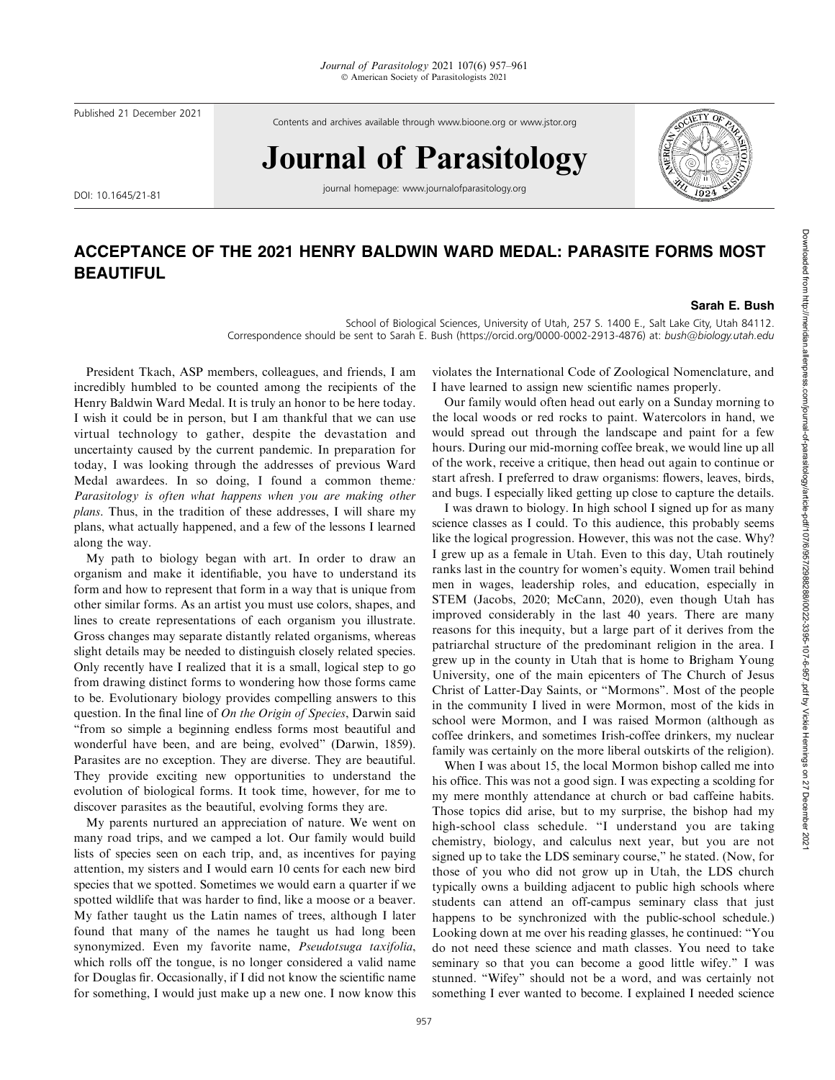Published 21 December 2021

Contents and archives available through www.bioone.org or www.jstor.org

## Journal of Parasitology

DOI: 10.1645/21-81

journal homepage: www.journalofparasitology.org



## ACCEPTANCE OF THE 2021 HENRY BALDWIN WARD MEDAL: PARASITE FORMS MOST BEAUTIFUL

## Sarah E. Bush

School of Biological Sciences, University of Utah, 257 S. 1400 E., Salt Lake City, Utah 84112. Correspondence should be sent to Sarah E. Bush (https://orcid.org/0000-0002-2913-4876) at: bush@biology.utah.edu

President Tkach, ASP members, colleagues, and friends, I am incredibly humbled to be counted among the recipients of the Henry Baldwin Ward Medal. It is truly an honor to be here today. I wish it could be in person, but I am thankful that we can use virtual technology to gather, despite the devastation and uncertainty caused by the current pandemic. In preparation for today, I was looking through the addresses of previous Ward Medal awardees. In so doing, I found a common theme: Parasitology is often what happens when you are making other plans. Thus, in the tradition of these addresses, I will share my plans, what actually happened, and a few of the lessons I learned along the way.

My path to biology began with art. In order to draw an organism and make it identifiable, you have to understand its form and how to represent that form in a way that is unique from other similar forms. As an artist you must use colors, shapes, and lines to create representations of each organism you illustrate. Gross changes may separate distantly related organisms, whereas slight details may be needed to distinguish closely related species. Only recently have I realized that it is a small, logical step to go from drawing distinct forms to wondering how those forms came to be. Evolutionary biology provides compelling answers to this question. In the final line of On the Origin of Species, Darwin said ''from so simple a beginning endless forms most beautiful and wonderful have been, and are being, evolved'' (Darwin, 1859). Parasites are no exception. They are diverse. They are beautiful. They provide exciting new opportunities to understand the evolution of biological forms. It took time, however, for me to discover parasites as the beautiful, evolving forms they are.

My parents nurtured an appreciation of nature. We went on many road trips, and we camped a lot. Our family would build lists of species seen on each trip, and, as incentives for paying attention, my sisters and I would earn 10 cents for each new bird species that we spotted. Sometimes we would earn a quarter if we spotted wildlife that was harder to find, like a moose or a beaver. My father taught us the Latin names of trees, although I later found that many of the names he taught us had long been synonymized. Even my favorite name, Pseudotsuga taxifolia, which rolls off the tongue, is no longer considered a valid name for Douglas fir. Occasionally, if I did not know the scientific name for something, I would just make up a new one. I now know this violates the International Code of Zoological Nomenclature, and I have learned to assign new scientific names properly.

Our family would often head out early on a Sunday morning to the local woods or red rocks to paint. Watercolors in hand, we would spread out through the landscape and paint for a few hours. During our mid-morning coffee break, we would line up all of the work, receive a critique, then head out again to continue or start afresh. I preferred to draw organisms: flowers, leaves, birds, and bugs. I especially liked getting up close to capture the details.

I was drawn to biology. In high school I signed up for as many science classes as I could. To this audience, this probably seems like the logical progression. However, this was not the case. Why? I grew up as a female in Utah. Even to this day, Utah routinely ranks last in the country for women's equity. Women trail behind men in wages, leadership roles, and education, especially in STEM (Jacobs, 2020; McCann, 2020), even though Utah has improved considerably in the last 40 years. There are many reasons for this inequity, but a large part of it derives from the patriarchal structure of the predominant religion in the area. I grew up in the county in Utah that is home to Brigham Young University, one of the main epicenters of The Church of Jesus Christ of Latter-Day Saints, or ''Mormons''. Most of the people in the community I lived in were Mormon, most of the kids in school were Mormon, and I was raised Mormon (although as coffee drinkers, and sometimes Irish-coffee drinkers, my nuclear family was certainly on the more liberal outskirts of the religion).

When I was about 15, the local Mormon bishop called me into his office. This was not a good sign. I was expecting a scolding for my mere monthly attendance at church or bad caffeine habits. Those topics did arise, but to my surprise, the bishop had my high-school class schedule. ''I understand you are taking chemistry, biology, and calculus next year, but you are not signed up to take the LDS seminary course,'' he stated. (Now, for those of you who did not grow up in Utah, the LDS church typically owns a building adjacent to public high schools where students can attend an off-campus seminary class that just happens to be synchronized with the public-school schedule.) Looking down at me over his reading glasses, he continued: ''You do not need these science and math classes. You need to take seminary so that you can become a good little wifey.'' I was stunned. ''Wifey'' should not be a word, and was certainly not something I ever wanted to become. I explained I needed science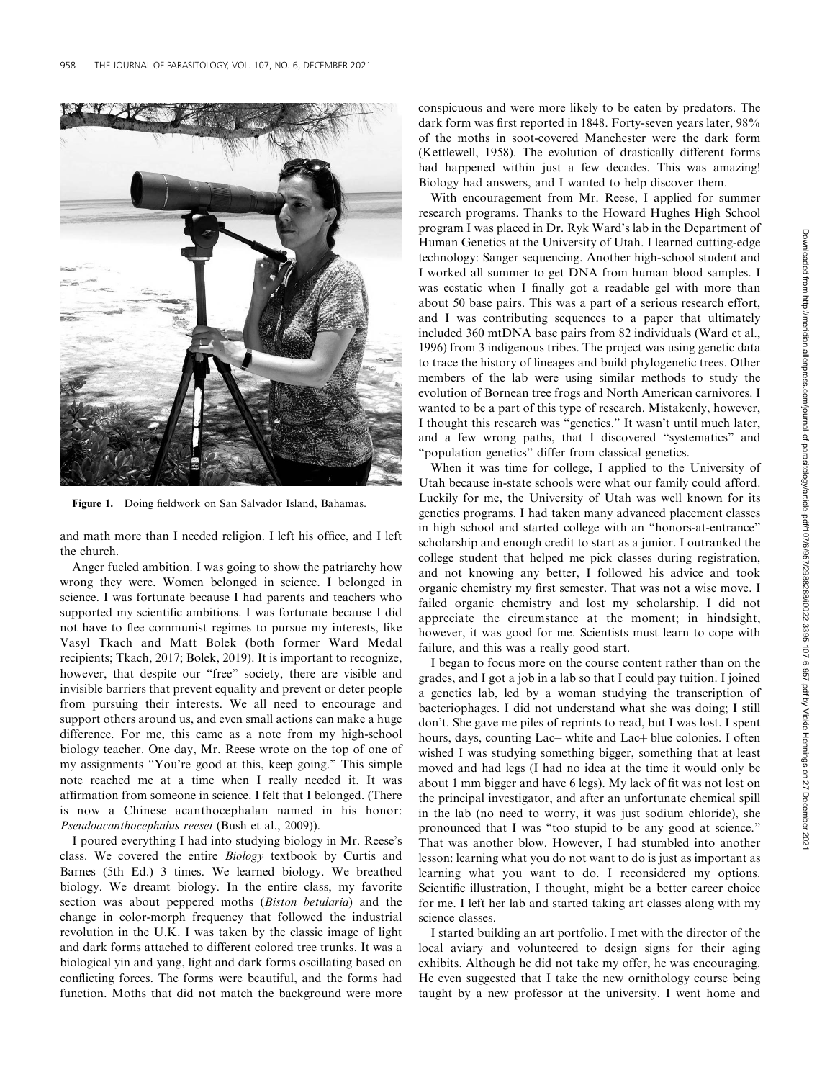

Figure 1. Doing fieldwork on San Salvador Island, Bahamas.

and math more than I needed religion. I left his office, and I left the church.

Anger fueled ambition. I was going to show the patriarchy how wrong they were. Women belonged in science. I belonged in science. I was fortunate because I had parents and teachers who supported my scientific ambitions. I was fortunate because I did not have to flee communist regimes to pursue my interests, like Vasyl Tkach and Matt Bolek (both former Ward Medal recipients; Tkach, 2017; Bolek, 2019). It is important to recognize, however, that despite our "free" society, there are visible and invisible barriers that prevent equality and prevent or deter people from pursuing their interests. We all need to encourage and support others around us, and even small actions can make a huge difference. For me, this came as a note from my high-school biology teacher. One day, Mr. Reese wrote on the top of one of my assignments ''You're good at this, keep going.'' This simple note reached me at a time when I really needed it. It was affirmation from someone in science. I felt that I belonged. (There is now a Chinese acanthocephalan named in his honor: Pseudoacanthocephalus reesei (Bush et al., 2009)).

I poured everything I had into studying biology in Mr. Reese's class. We covered the entire Biology textbook by Curtis and Barnes (5th Ed.) 3 times. We learned biology. We breathed biology. We dreamt biology. In the entire class, my favorite section was about peppered moths (Biston betularia) and the change in color-morph frequency that followed the industrial revolution in the U.K. I was taken by the classic image of light and dark forms attached to different colored tree trunks. It was a biological yin and yang, light and dark forms oscillating based on conflicting forces. The forms were beautiful, and the forms had function. Moths that did not match the background were more conspicuous and were more likely to be eaten by predators. The dark form was first reported in 1848. Forty-seven years later, 98% of the moths in soot-covered Manchester were the dark form (Kettlewell, 1958). The evolution of drastically different forms had happened within just a few decades. This was amazing! Biology had answers, and I wanted to help discover them.

With encouragement from Mr. Reese, I applied for summer research programs. Thanks to the Howard Hughes High School program I was placed in Dr. Ryk Ward's lab in the Department of Human Genetics at the University of Utah. I learned cutting-edge technology: Sanger sequencing. Another high-school student and I worked all summer to get DNA from human blood samples. I was ecstatic when I finally got a readable gel with more than about 50 base pairs. This was a part of a serious research effort, and I was contributing sequences to a paper that ultimately included 360 mtDNA base pairs from 82 individuals (Ward et al., 1996) from 3 indigenous tribes. The project was using genetic data to trace the history of lineages and build phylogenetic trees. Other members of the lab were using similar methods to study the evolution of Bornean tree frogs and North American carnivores. I wanted to be a part of this type of research. Mistakenly, however, I thought this research was ''genetics.'' It wasn't until much later, and a few wrong paths, that I discovered ''systematics'' and ''population genetics'' differ from classical genetics.

When it was time for college, I applied to the University of Utah because in-state schools were what our family could afford. Luckily for me, the University of Utah was well known for its genetics programs. I had taken many advanced placement classes in high school and started college with an ''honors-at-entrance'' scholarship and enough credit to start as a junior. I outranked the college student that helped me pick classes during registration, and not knowing any better, I followed his advice and took organic chemistry my first semester. That was not a wise move. I failed organic chemistry and lost my scholarship. I did not appreciate the circumstance at the moment; in hindsight, however, it was good for me. Scientists must learn to cope with failure, and this was a really good start.

I began to focus more on the course content rather than on the grades, and I got a job in a lab so that I could pay tuition. I joined a genetics lab, led by a woman studying the transcription of bacteriophages. I did not understand what she was doing; I still don't. She gave me piles of reprints to read, but I was lost. I spent hours, days, counting Lac– white and Lac+ blue colonies. I often wished I was studying something bigger, something that at least moved and had legs (I had no idea at the time it would only be about 1 mm bigger and have 6 legs). My lack of fit was not lost on the principal investigator, and after an unfortunate chemical spill in the lab (no need to worry, it was just sodium chloride), she pronounced that I was ''too stupid to be any good at science.'' That was another blow. However, I had stumbled into another lesson: learning what you do not want to do is just as important as learning what you want to do. I reconsidered my options. Scientific illustration, I thought, might be a better career choice for me. I left her lab and started taking art classes along with my science classes.

I started building an art portfolio. I met with the director of the local aviary and volunteered to design signs for their aging exhibits. Although he did not take my offer, he was encouraging. He even suggested that I take the new ornithology course being taught by a new professor at the university. I went home and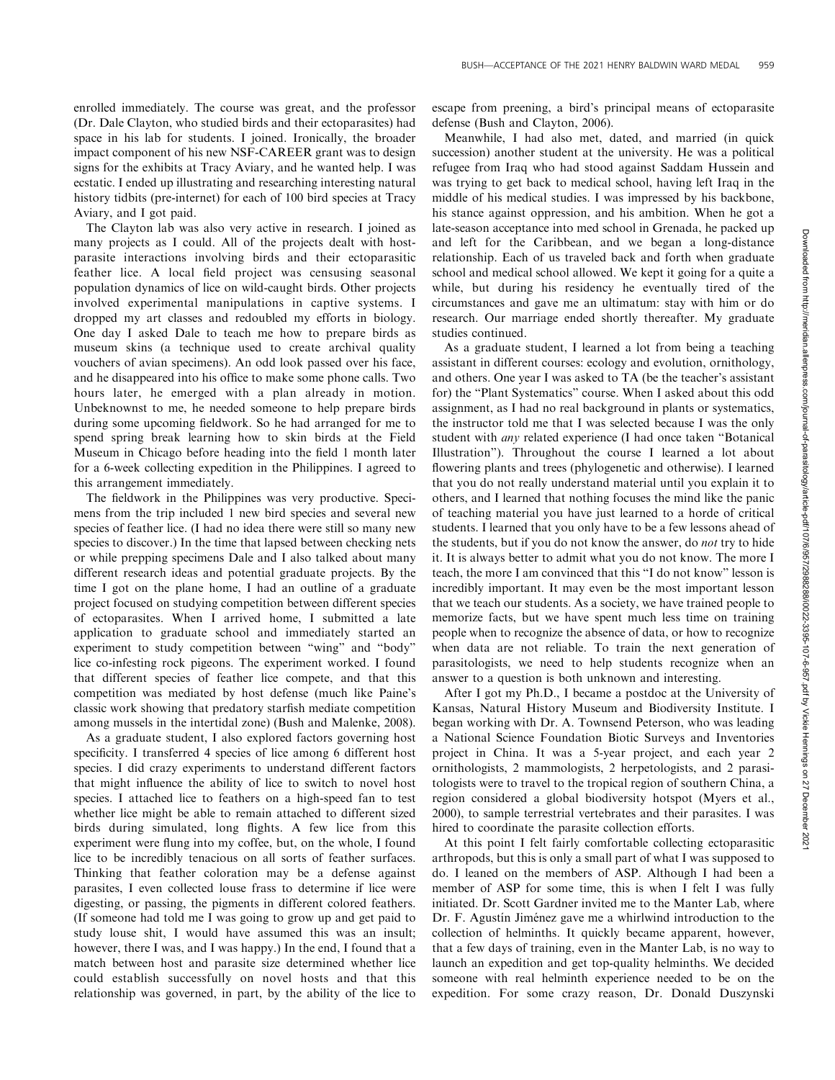enrolled immediately. The course was great, and the professor (Dr. Dale Clayton, who studied birds and their ectoparasites) had space in his lab for students. I joined. Ironically, the broader impact component of his new NSF-CAREER grant was to design signs for the exhibits at Tracy Aviary, and he wanted help. I was ecstatic. I ended up illustrating and researching interesting natural history tidbits (pre-internet) for each of 100 bird species at Tracy Aviary, and I got paid.

The Clayton lab was also very active in research. I joined as many projects as I could. All of the projects dealt with hostparasite interactions involving birds and their ectoparasitic feather lice. A local field project was censusing seasonal population dynamics of lice on wild-caught birds. Other projects involved experimental manipulations in captive systems. I dropped my art classes and redoubled my efforts in biology. One day I asked Dale to teach me how to prepare birds as museum skins (a technique used to create archival quality vouchers of avian specimens). An odd look passed over his face, and he disappeared into his office to make some phone calls. Two hours later, he emerged with a plan already in motion. Unbeknownst to me, he needed someone to help prepare birds during some upcoming fieldwork. So he had arranged for me to spend spring break learning how to skin birds at the Field Museum in Chicago before heading into the field 1 month later for a 6-week collecting expedition in the Philippines. I agreed to this arrangement immediately.

The fieldwork in the Philippines was very productive. Specimens from the trip included 1 new bird species and several new species of feather lice. (I had no idea there were still so many new species to discover.) In the time that lapsed between checking nets or while prepping specimens Dale and I also talked about many different research ideas and potential graduate projects. By the time I got on the plane home, I had an outline of a graduate project focused on studying competition between different species of ectoparasites. When I arrived home, I submitted a late application to graduate school and immediately started an experiment to study competition between ''wing'' and ''body'' lice co-infesting rock pigeons. The experiment worked. I found that different species of feather lice compete, and that this competition was mediated by host defense (much like Paine's classic work showing that predatory starfish mediate competition among mussels in the intertidal zone) (Bush and Malenke, 2008).

As a graduate student, I also explored factors governing host specificity. I transferred 4 species of lice among 6 different host species. I did crazy experiments to understand different factors that might influence the ability of lice to switch to novel host species. I attached lice to feathers on a high-speed fan to test whether lice might be able to remain attached to different sized birds during simulated, long flights. A few lice from this experiment were flung into my coffee, but, on the whole, I found lice to be incredibly tenacious on all sorts of feather surfaces. Thinking that feather coloration may be a defense against parasites, I even collected louse frass to determine if lice were digesting, or passing, the pigments in different colored feathers. (If someone had told me I was going to grow up and get paid to study louse shit, I would have assumed this was an insult; however, there I was, and I was happy.) In the end, I found that a match between host and parasite size determined whether lice could establish successfully on novel hosts and that this relationship was governed, in part, by the ability of the lice to escape from preening, a bird's principal means of ectoparasite defense (Bush and Clayton, 2006).

Meanwhile, I had also met, dated, and married (in quick succession) another student at the university. He was a political refugee from Iraq who had stood against Saddam Hussein and was trying to get back to medical school, having left Iraq in the middle of his medical studies. I was impressed by his backbone, his stance against oppression, and his ambition. When he got a late-season acceptance into med school in Grenada, he packed up and left for the Caribbean, and we began a long-distance relationship. Each of us traveled back and forth when graduate school and medical school allowed. We kept it going for a quite a while, but during his residency he eventually tired of the circumstances and gave me an ultimatum: stay with him or do research. Our marriage ended shortly thereafter. My graduate studies continued.

As a graduate student, I learned a lot from being a teaching assistant in different courses: ecology and evolution, ornithology, and others. One year I was asked to TA (be the teacher's assistant for) the ''Plant Systematics'' course. When I asked about this odd assignment, as I had no real background in plants or systematics, the instructor told me that I was selected because I was the only student with any related experience (I had once taken ''Botanical Illustration''). Throughout the course I learned a lot about flowering plants and trees (phylogenetic and otherwise). I learned that you do not really understand material until you explain it to others, and I learned that nothing focuses the mind like the panic of teaching material you have just learned to a horde of critical students. I learned that you only have to be a few lessons ahead of the students, but if you do not know the answer, do not try to hide it. It is always better to admit what you do not know. The more I teach, the more I am convinced that this ''I do not know'' lesson is incredibly important. It may even be the most important lesson that we teach our students. As a society, we have trained people to memorize facts, but we have spent much less time on training people when to recognize the absence of data, or how to recognize when data are not reliable. To train the next generation of parasitologists, we need to help students recognize when an answer to a question is both unknown and interesting.

After I got my Ph.D., I became a postdoc at the University of Kansas, Natural History Museum and Biodiversity Institute. I began working with Dr. A. Townsend Peterson, who was leading a National Science Foundation Biotic Surveys and Inventories project in China. It was a 5-year project, and each year 2 ornithologists, 2 mammologists, 2 herpetologists, and 2 parasitologists were to travel to the tropical region of southern China, a region considered a global biodiversity hotspot (Myers et al., 2000), to sample terrestrial vertebrates and their parasites. I was hired to coordinate the parasite collection efforts.

At this point I felt fairly comfortable collecting ectoparasitic arthropods, but this is only a small part of what I was supposed to do. I leaned on the members of ASP. Although I had been a member of ASP for some time, this is when I felt I was fully initiated. Dr. Scott Gardner invited me to the Manter Lab, where Dr. F. Agustín Jiménez gave me a whirlwind introduction to the collection of helminths. It quickly became apparent, however, that a few days of training, even in the Manter Lab, is no way to launch an expedition and get top-quality helminths. We decided someone with real helminth experience needed to be on the expedition. For some crazy reason, Dr. Donald Duszynski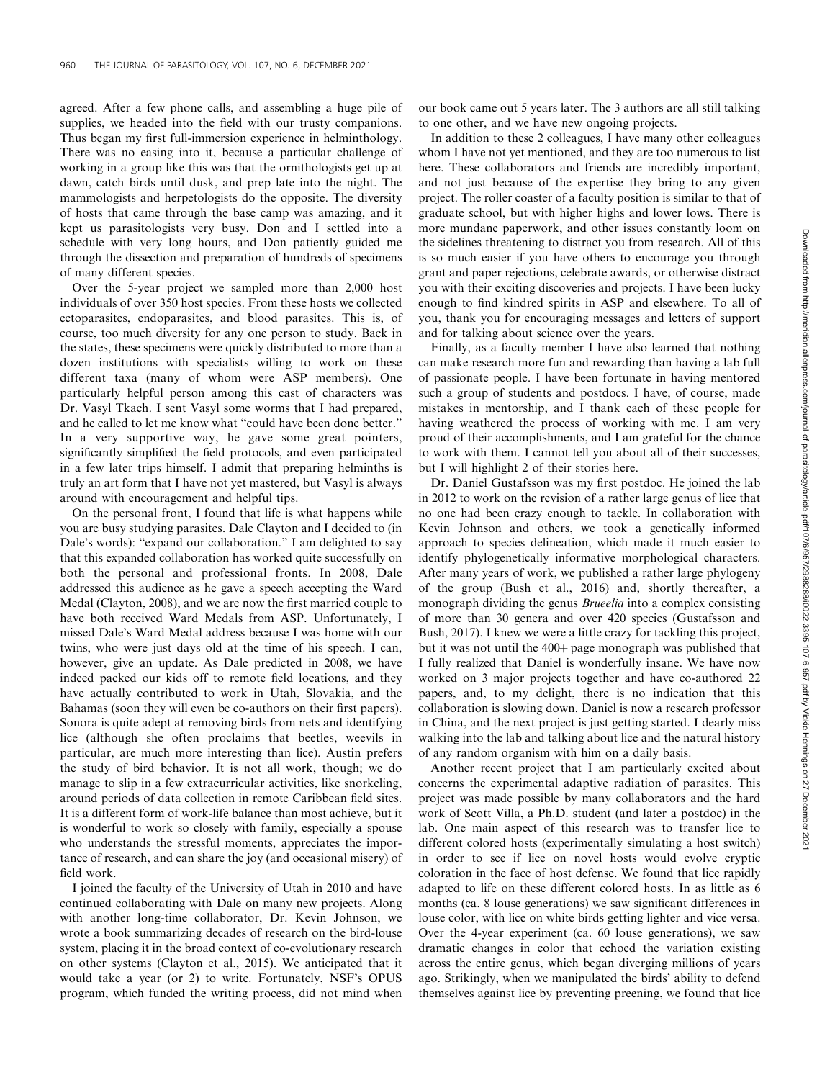agreed. After a few phone calls, and assembling a huge pile of supplies, we headed into the field with our trusty companions. Thus began my first full-immersion experience in helminthology. There was no easing into it, because a particular challenge of working in a group like this was that the ornithologists get up at dawn, catch birds until dusk, and prep late into the night. The mammologists and herpetologists do the opposite. The diversity of hosts that came through the base camp was amazing, and it kept us parasitologists very busy. Don and I settled into a schedule with very long hours, and Don patiently guided me through the dissection and preparation of hundreds of specimens of many different species.

Over the 5-year project we sampled more than 2,000 host individuals of over 350 host species. From these hosts we collected ectoparasites, endoparasites, and blood parasites. This is, of course, too much diversity for any one person to study. Back in the states, these specimens were quickly distributed to more than a dozen institutions with specialists willing to work on these different taxa (many of whom were ASP members). One particularly helpful person among this cast of characters was Dr. Vasyl Tkach. I sent Vasyl some worms that I had prepared, and he called to let me know what ''could have been done better.'' In a very supportive way, he gave some great pointers, significantly simplified the field protocols, and even participated in a few later trips himself. I admit that preparing helminths is truly an art form that I have not yet mastered, but Vasyl is always around with encouragement and helpful tips.

On the personal front, I found that life is what happens while you are busy studying parasites. Dale Clayton and I decided to (in Dale's words): "expand our collaboration." I am delighted to say that this expanded collaboration has worked quite successfully on both the personal and professional fronts. In 2008, Dale addressed this audience as he gave a speech accepting the Ward Medal (Clayton, 2008), and we are now the first married couple to have both received Ward Medals from ASP. Unfortunately, I missed Dale's Ward Medal address because I was home with our twins, who were just days old at the time of his speech. I can, however, give an update. As Dale predicted in 2008, we have indeed packed our kids off to remote field locations, and they have actually contributed to work in Utah, Slovakia, and the Bahamas (soon they will even be co-authors on their first papers). Sonora is quite adept at removing birds from nets and identifying lice (although she often proclaims that beetles, weevils in particular, are much more interesting than lice). Austin prefers the study of bird behavior. It is not all work, though; we do manage to slip in a few extracurricular activities, like snorkeling, around periods of data collection in remote Caribbean field sites. It is a different form of work-life balance than most achieve, but it is wonderful to work so closely with family, especially a spouse who understands the stressful moments, appreciates the importance of research, and can share the joy (and occasional misery) of field work.

I joined the faculty of the University of Utah in 2010 and have continued collaborating with Dale on many new projects. Along with another long-time collaborator, Dr. Kevin Johnson, we wrote a book summarizing decades of research on the bird-louse system, placing it in the broad context of co-evolutionary research on other systems (Clayton et al., 2015). We anticipated that it would take a year (or 2) to write. Fortunately, NSF's OPUS program, which funded the writing process, did not mind when

our book came out 5 years later. The 3 authors are all still talking to one other, and we have new ongoing projects.

In addition to these 2 colleagues, I have many other colleagues whom I have not yet mentioned, and they are too numerous to list here. These collaborators and friends are incredibly important, and not just because of the expertise they bring to any given project. The roller coaster of a faculty position is similar to that of graduate school, but with higher highs and lower lows. There is more mundane paperwork, and other issues constantly loom on the sidelines threatening to distract you from research. All of this is so much easier if you have others to encourage you through grant and paper rejections, celebrate awards, or otherwise distract you with their exciting discoveries and projects. I have been lucky enough to find kindred spirits in ASP and elsewhere. To all of you, thank you for encouraging messages and letters of support and for talking about science over the years.

Finally, as a faculty member I have also learned that nothing can make research more fun and rewarding than having a lab full of passionate people. I have been fortunate in having mentored such a group of students and postdocs. I have, of course, made mistakes in mentorship, and I thank each of these people for having weathered the process of working with me. I am very proud of their accomplishments, and I am grateful for the chance to work with them. I cannot tell you about all of their successes, but I will highlight 2 of their stories here.

Dr. Daniel Gustafsson was my first postdoc. He joined the lab in 2012 to work on the revision of a rather large genus of lice that no one had been crazy enough to tackle. In collaboration with Kevin Johnson and others, we took a genetically informed approach to species delineation, which made it much easier to identify phylogenetically informative morphological characters. After many years of work, we published a rather large phylogeny of the group (Bush et al., 2016) and, shortly thereafter, a monograph dividing the genus Brueelia into a complex consisting of more than 30 genera and over 420 species (Gustafsson and Bush, 2017). I knew we were a little crazy for tackling this project, but it was not until the  $400<sub>+</sub>$  page monograph was published that I fully realized that Daniel is wonderfully insane. We have now worked on 3 major projects together and have co-authored 22 papers, and, to my delight, there is no indication that this collaboration is slowing down. Daniel is now a research professor in China, and the next project is just getting started. I dearly miss walking into the lab and talking about lice and the natural history of any random organism with him on a daily basis.

Another recent project that I am particularly excited about concerns the experimental adaptive radiation of parasites. This project was made possible by many collaborators and the hard work of Scott Villa, a Ph.D. student (and later a postdoc) in the lab. One main aspect of this research was to transfer lice to different colored hosts (experimentally simulating a host switch) in order to see if lice on novel hosts would evolve cryptic coloration in the face of host defense. We found that lice rapidly adapted to life on these different colored hosts. In as little as 6 months (ca. 8 louse generations) we saw significant differences in louse color, with lice on white birds getting lighter and vice versa. Over the 4-year experiment (ca. 60 louse generations), we saw dramatic changes in color that echoed the variation existing across the entire genus, which began diverging millions of years ago. Strikingly, when we manipulated the birds' ability to defend themselves against lice by preventing preening, we found that lice